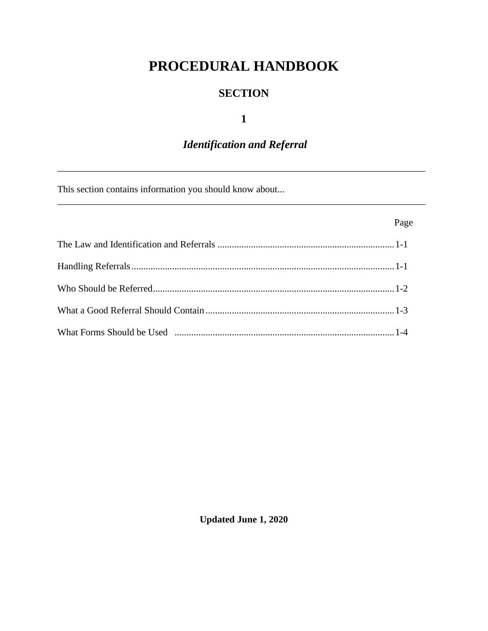# PROCEDURAL HANDBOOK

## **SECTION**

## $\mathbf{1}$

## **Identification and Referral**

This section contains information you should know about...

| Page |
|------|
|      |
|      |
|      |
|      |
|      |

**Updated June 1, 2020**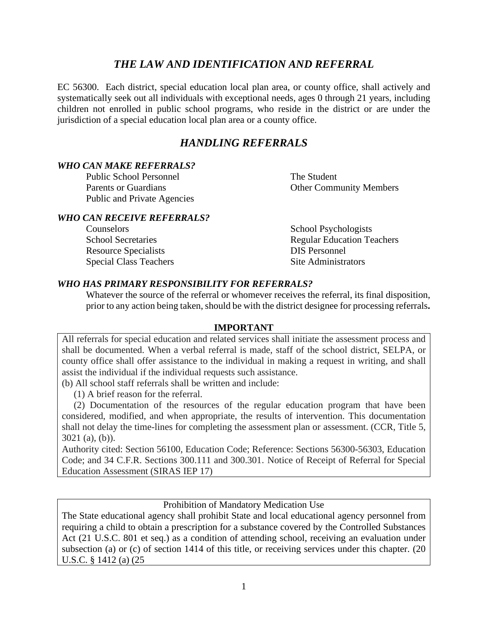## *THE LAW AND IDENTIFICATION AND REFERRAL*

EC 56300. Each district, special education local plan area, or county office, shall actively and systematically seek out all individuals with exceptional needs, ages 0 through 21 years, including children not enrolled in public school programs, who reside in the district or are under the jurisdiction of a special education local plan area or a county office.

## *HANDLING REFERRALS*

#### *WHO CAN MAKE REFERRALS?*

Public School Personnel The Student Parents or Guardians **Other Community Members** Public and Private Agencies

#### *WHO CAN RECEIVE REFERRALS?*

Counselors School Psychologists Resource Specialists DIS Personnel Special Class Teachers Site Administrators

School Secretaries Regular Education Teachers

#### *WHO HAS PRIMARY RESPONSIBILITY FOR REFERRALS?*

Whatever the source of the referral or whomever receives the referral, its final disposition, prior to any action being taken, should be with the district designee for processing referrals**.** 

#### **IMPORTANT**

All referrals for special education and related services shall initiate the assessment process and shall be documented. When a verbal referral is made, staff of the school district, SELPA, or county office shall offer assistance to the individual in making a request in writing, and shall assist the individual if the individual requests such assistance.

(b) All school staff referrals shall be written and include:

(1) A brief reason for the referral.

 (2) Documentation of the resources of the regular education program that have been considered, modified, and when appropriate, the results of intervention. This documentation shall not delay the time-lines for completing the assessment plan or assessment. (CCR, Title 5, 3021 (a), (b)).

Authority cited: Section 56100, Education Code; Reference: Sections 56300-56303, Education Code; and 34 C.F.R. Sections 300.111 and 300.301. Notice of Receipt of Referral for Special Education Assessment (SIRAS IEP 17)

#### Prohibition of Mandatory Medication Use

The State educational agency shall prohibit State and local educational agency personnel from requiring a child to obtain a prescription for a substance covered by the Controlled Substances Act (21 U.S.C. 801 et seq.) as a condition of attending school, receiving an evaluation under subsection (a) or (c) of section 1414 of this title, or receiving services under this chapter. (20 U.S.C. § 1412 (a) (25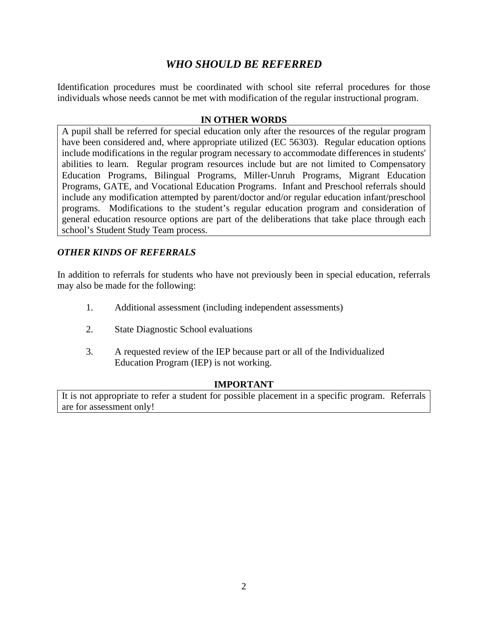## *WHO SHOULD BE REFERRED*

Identification procedures must be coordinated with school site referral procedures for those individuals whose needs cannot be met with modification of the regular instructional program.

#### **IN OTHER WORDS**

A pupil shall be referred for special education only after the resources of the regular program have been considered and, where appropriate utilized (EC 56303). Regular education options include modifications in the regular program necessary to accommodate differences in students' abilities to learn. Regular program resources include but are not limited to Compensatory Education Programs, Bilingual Programs, Miller-Unruh Programs, Migrant Education Programs, GATE, and Vocational Education Programs. Infant and Preschool referrals should include any modification attempted by parent/doctor and/or regular education infant/preschool programs. Modifications to the student's regular education program and consideration of general education resource options are part of the deliberations that take place through each school's Student Study Team process.

### *OTHER KINDS OF REFERRALS*

In addition to referrals for students who have not previously been in special education, referrals may also be made for the following:

- 1. Additional assessment (including independent assessments)
- 2. State Diagnostic School evaluations
- 3. A requested review of the IEP because part or all of the Individualized Education Program (IEP) is not working.

#### **IMPORTANT**

It is not appropriate to refer a student for possible placement in a specific program. Referrals are for assessment only!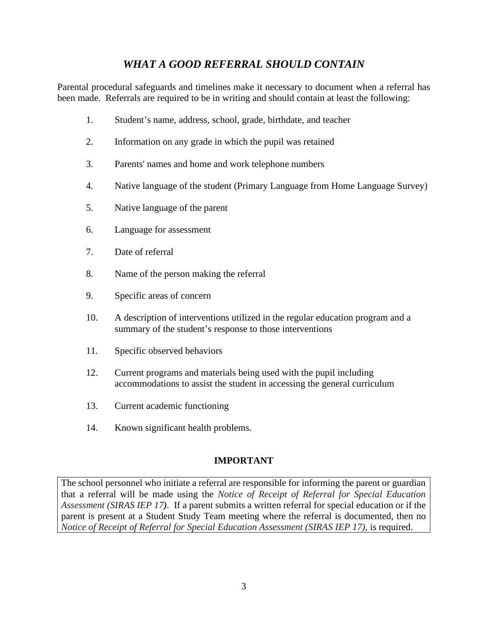## *WHAT A GOOD REFERRAL SHOULD CONTAIN*

Parental procedural safeguards and timelines make it necessary to document when a referral has been made. Referrals are required to be in writing and should contain at least the following:

- 1. Student's name, address, school, grade, birthdate, and teacher
- 2. Information on any grade in which the pupil was retained
- 3. Parents' names and home and work telephone numbers
- 4. Native language of the student (Primary Language from Home Language Survey)
- 5. Native language of the parent
- 6. Language for assessment
- 7. Date of referral
- 8. Name of the person making the referral
- 9. Specific areas of concern
- 10. A description of interventions utilized in the regular education program and a summary of the student's response to those interventions
- 11. Specific observed behaviors
- 12. Current programs and materials being used with the pupil including accommodations to assist the student in accessing the general curriculum
- 13. Current academic functioning
- 14. Known significant health problems.

## **IMPORTANT**

The school personnel who initiate a referral are responsible for informing the parent or guardian that a referral will be made using the *Notice of Receipt of Referral for Special Education Assessment (SIRAS IEP 17).* If a parent submits a written referral for special education or if the parent is present at a Student Study Team meeting where the referral is documented, then no *Notice of Receipt of Referral for Special Education Assessment (SIRAS IEP 17)*, is required.